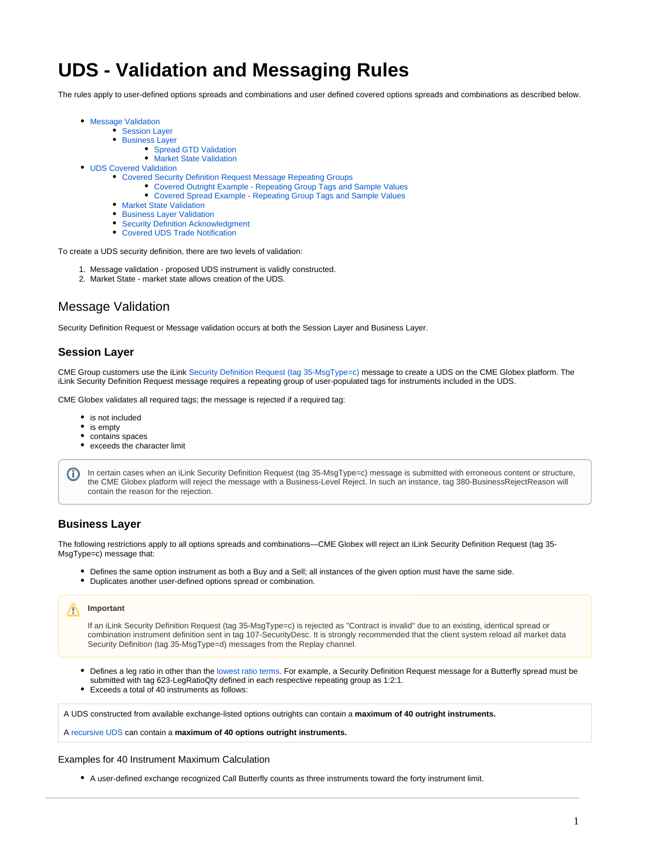# **UDS - Validation and Messaging Rules**

The rules apply to user-defined options spreads and combinations and user defined covered options spreads and combinations as described below.

- [Message Validation](#page-0-0)
	- [Session Layer](#page-0-1)
		- [Business Layer](#page-0-2)
			- [Spread GTD Validation](#page-1-0)
			- [Market State Validation](#page-1-1)
- [UDS Covered Validation](#page-1-2)
	- [Covered Security Definition Request Message Repeating Groups](#page-1-3)
		- [Covered Outright Example Repeating Group Tags and Sample Values](#page-2-0)
		- [Covered Spread Example Repeating Group Tags and Sample Values](#page-2-1)
	- **[Market State Validation](#page-2-2)**
	- **[Business Layer Validation](#page-2-3)**
	- [Security Definition Acknowledgment](#page-3-0)
	- [Covered UDS Trade Notification](#page-3-1)

To create a UDS security definition, there are two levels of validation:

- 1. Message validation proposed UDS instrument is validly constructed.
- 2. Market State market state allows creation of the UDS.

# <span id="page-0-0"></span>Message Validation

Security Definition Request or Message validation occurs at both the Session Layer and Business Layer.

# <span id="page-0-1"></span>**Session Layer**

CME Group customers use the iLink [Security Definition Request \(tag 35-MsgType=c\)](https://www.cmegroup.com/confluence/display/EPICSANDBOX/iLink+2+Security+Definition+Request) message to create a UDS on the CME Globex platform. The iLink Security Definition Request message requires a repeating group of user-populated tags for instruments included in the UDS.

CME Globex validates all required tags; the message is rejected if a required tag:

- is not included
- is empty
- contains spaces
- exceeds the character limit

In certain cases when an iLink Security Definition Request (tag 35-MsgType=c) message is submitted with erroneous content or structure, (i) the CME Globex platform will reject the message with a Business-Level Reject. In such an instance, tag 380-BusinessRejectReason will contain the reason for the rejection.

# <span id="page-0-2"></span>**Business Layer**

The following restrictions apply to all options spreads and combinations—CME Globex will reject an iLink Security Definition Request (tag 35- MsgType=c) message that:

- Defines the same option instrument as both a Buy and a Sell; all instances of the given option must have the same side.
- Duplicates another user-defined options spread or combination.

# **Important**

If an iLink Security Definition Request (tag 35-MsgType=c) is rejected as "Contract is invalid" due to an existing, identical spread or combination instrument definition sent in tag 107-SecurityDesc. It is strongly recommended that the client system reload all market data Security Definition (tag 35-MsgType=d) messages from the Replay channel.

- Defines a leg ratio in other than the [lowest ratio terms](https://www.cmegroup.com/confluence/display/EPICSANDBOX/UDS+-+Defining+Leg+Ratio+Quantities). For example, a Security Definition Request message for a Butterfly spread must be  $\bullet$ submitted with tag 623-LegRatioQty defined in each respective repeating group as 1:2:1.
- Exceeds a total of 40 instruments as follows:

A UDS constructed from available exchange-listed options outrights can contain a **maximum of 40 outright instruments.**

A [recursive UDS](https://www.cmegroup.com/confluence/display/EPICSANDBOX/User+Defined+Spread+-+UDS#UserDefinedSpreadUDS-UDSRecursion) can contain a **maximum of 40 options outright instruments.**

#### Examples for 40 Instrument Maximum Calculation

A user-defined exchange recognized Call Butterfly counts as three instruments toward the forty instrument limit.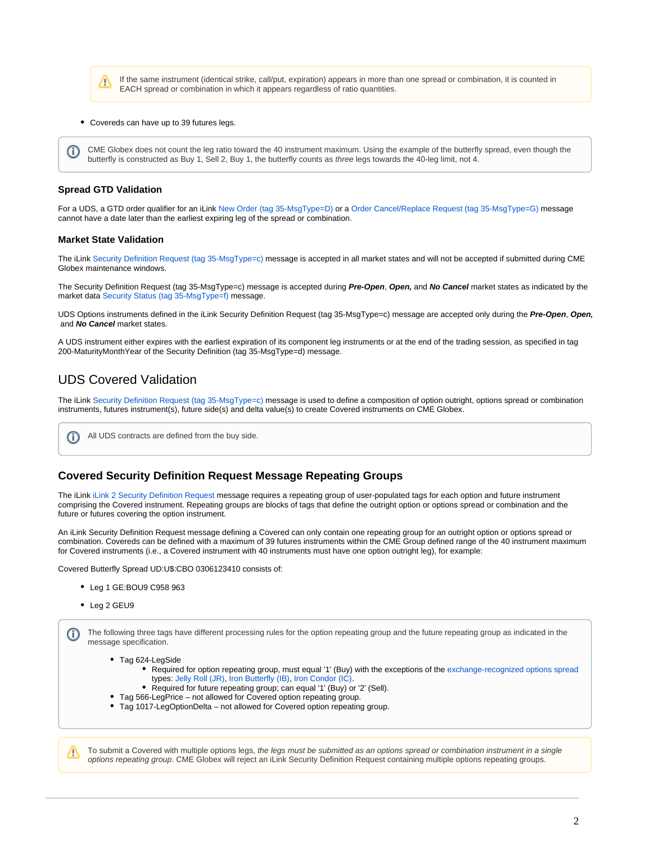If the same instrument (identical strike, call/put, expiration) appears in more than one spread or combination, it is counted in Λ EACH spread or combination in which it appears regardless of ratio quantities.

Covereds can have up to 39 futures legs.

CME Globex does not count the leg ratio toward the 40 instrument maximum. Using the example of the butterfly spread, even though the butterfly is constructed as Buy 1, Sell 2, Buy 1, the butterfly counts as three legs towards the 40-leg limit, not 4.

### <span id="page-1-0"></span>**Spread GTD Validation**

For a UDS, a GTD order qualifier for an iLink [New Order \(tag 35-MsgType=D\)](https://www.cmegroup.com/confluence/display/EPICSANDBOX/iLink+2+New+Order) or a [Order Cancel/Replace Request \(tag 35-MsgType=G\)](https://www.cmegroup.com/confluence/display/EPICSANDBOX/iLink+2+Order+Cancel-Replace+Request) message cannot have a date later than the earliest expiring leg of the spread or combination.

#### <span id="page-1-1"></span>**Market State Validation**

The iLink [Security Definition Request \(tag 35-MsgType=c\)](https://www.cmegroup.com/confluence/display/EPICSANDBOX/iLink+2+Security+Definition+Request) message is accepted in all market states and will not be accepted if submitted during CME Globex maintenance windows.

The Security Definition Request (tag 35-MsgType=c) message is accepted during **Pre-Open**, **Open,** and **No Cancel** market states as indicated by the market data [Security Status \(tag 35-MsgType=f\)](https://wiki.chicago.cme.com/confluence/display/EPICSANDBOX/MDP+3.0+-+Market+Data+Security+Status?src=contextnavpagetreemode) message.

UDS Options instruments defined in the iLink Security Definition Request (tag 35-MsgType=c) message are accepted only during the **Pre-Open**, **Open,** and **No Cancel** market states.

A UDS instrument either expires with the earliest expiration of its component leg instruments or at the end of the trading session, as specified in tag 200-MaturityMonthYear of the Security Definition (tag 35-MsgType=d) message.

# <span id="page-1-2"></span>UDS Covered Validation

The iLink [Security Definition Request \(tag 35-MsgType=c\)](https://www.cmegroup.com/confluence/display/EPICSANDBOX/iLink+2+Security+Definition+Request) message is used to define a composition of option outright, options spread or combination instruments, futures instrument(s), future side(s) and delta value(s) to create Covered instruments on CME Globex.

```
All UDS contracts are defined from the buy side.
ന
```
# <span id="page-1-3"></span>**Covered Security Definition Request Message Repeating Groups**

The iLink [iLink 2 Security Definition Request](https://www.cmegroup.com/confluence/display/EPICSANDBOX/iLink+2+Security+Definition+Request) message requires a repeating group of user-populated tags for each option and future instrument comprising the Covered instrument. Repeating groups are blocks of tags that define the outright option or options spread or combination and the future or futures covering the option instrument.

An iLink Security Definition Request message defining a Covered can only contain one repeating group for an outright option or options spread or combination. Covereds can be defined with a maximum of 39 futures instruments within the CME Group defined range of the 40 instrument maximum for Covered instruments (i.e., a Covered instrument with 40 instruments must have one option outright leg), for example:

Covered Butterfly Spread UD:U\$:CBO 0306123410 consists of:

- Leg 1 GE:BOU9 C958 963
- Leg 2 GEU9

The following three tags have different processing rules for the option repeating group and the future repeating group as indicated in the message specification.

- Tag 624-LegSide
	- Required for option repeating group, must equal '1' (Buy) with the exceptions of the [exchange-recognized options spread](https://www.cmegroup.com/confluence/display/EPICSANDBOX/Spreads+and+Combinations+Available+on+CME+Globex) types[: Jelly Roll \(JR\),](https://www.cmegroup.com/confluence/display/EPICSANDBOX/Spreads+and+Combinations+Available+on+CME+Globex#SpreadsandCombinationsAvailableonCMEGlobex-Options-JellyRoll(JR)) [Iron Butterfly \(IB\),](https://www.cmegroup.com/confluence/display/EPICSANDBOX/Spreads+and+Combinations+Available+on+CME+Globex#SpreadsandCombinationsAvailableonCMEGlobex-Options-IronButterfly(IB)) [Iron Condor \(IC\).](https://www.cmegroup.com/confluence/display/EPICSANDBOX/Spreads+and+Combinations+Available+on+CME+Globex#SpreadsandCombinationsAvailableonCMEGlobex-Options-IronCondor(IC))
	- Required for future repeating group; can equal '1' (Buy) or '2' (Sell).
- Tag 566-LegPrice not allowed for Covered option repeating group.
- Tag 1017-LegOptionDelta not allowed for Covered option repeating group.

To submit a Covered with multiple options legs, the legs must be submitted as an options spread or combination instrument in a single options repeating group. CME Globex will reject an iLink Security Definition Request containing multiple options repeating groups.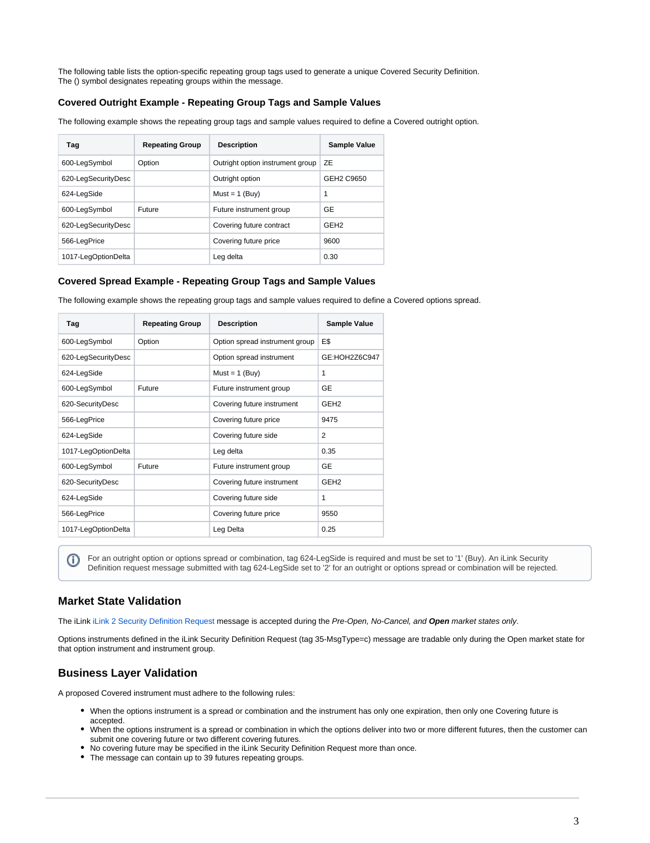

The following table lists the option-specific repeating group tags used to generate a unique Covered Security Definition. The () symbol designates repeating groups within the message.

# <span id="page-2-0"></span>**Covered Outright Example - Repeating Group Tags and Sample Values**

The following example shows the repeating group tags and sample values required to define a Covered outright option.

| Tag                 | <b>Repeating Group</b> | <b>Description</b>               | <b>Sample Value</b> |
|---------------------|------------------------|----------------------------------|---------------------|
| 600-LegSymbol       | Option                 | Outright option instrument group | ZE                  |
| 620-LegSecurityDesc |                        | Outright option                  | GEH2 C9650          |
| 624-LegSide         |                        | $Must = 1$ (Buv)                 | 1                   |
| 600-LegSymbol       | Future                 | Future instrument aroup          | <b>GE</b>           |
| 620-LegSecurityDesc |                        | Covering future contract         | GEH <sub>2</sub>    |
| 566-LegPrice        |                        | Covering future price            | 9600                |
| 1017-LegOptionDelta |                        | Leg delta                        | 0.30                |

### <span id="page-2-1"></span>**Covered Spread Example - Repeating Group Tags and Sample Values**

The following example shows the repeating group tags and sample values required to define a Covered options spread.

| Tag                 | <b>Repeating Group</b> | <b>Description</b>             | Sample Value     |
|---------------------|------------------------|--------------------------------|------------------|
| 600-LegSymbol       | Option                 | Option spread instrument group | E\$              |
| 620-LegSecurityDesc |                        | Option spread instrument       | GE:HOH2Z6C947    |
| 624-LegSide         |                        | $Must = 1$ (Buy)               | 1                |
| 600-LegSymbol       | Future                 | Future instrument group        | GE               |
| 620-SecurityDesc    |                        | Covering future instrument     | GEH <sub>2</sub> |
| 566-LegPrice        |                        | Covering future price          | 9475             |
| 624-LegSide         |                        | Covering future side           | $\overline{2}$   |
| 1017-LegOptionDelta |                        | Leg delta                      | 0.35             |
| 600-LegSymbol       | Future                 | Future instrument group        | GE               |
| 620-SecurityDesc    |                        | Covering future instrument     | GEH <sub>2</sub> |
| 624-LegSide         |                        | Covering future side           | 1                |
| 566-LegPrice        |                        | Covering future price          | 9550             |
| 1017-LegOptionDelta |                        | Leg Delta                      | 0.25             |

For an outright option or options spread or combination, tag 624-LegSide is required and must be set to '1' (Buy). An iLink Security O) Definition request message submitted with tag 624-LegSide set to '2' for an outright or options spread or combination will be rejected.

# <span id="page-2-2"></span>**Market State Validation**

The iLink [iLink 2 Security Definition Request](https://www.cmegroup.com/confluence/display/EPICSANDBOX/iLink+2+Security+Definition+Request) message is accepted during the Pre-Open, No-Cancel, and **Open** market states only.

Options instruments defined in the iLink Security Definition Request (tag 35-MsgType=c) message are tradable only during the Open market state for that option instrument and instrument group.

# <span id="page-2-3"></span>**Business Layer Validation**

A proposed Covered instrument must adhere to the following rules:

- When the options instrument is a spread or combination and the instrument has only one expiration, then only one Covering future is accepted.
- When the options instrument is a spread or combination in which the options deliver into two or more different futures, then the customer can submit one covering future or two different covering futures.
- No covering future may be specified in the iLink Security Definition Request more than once.
- The message can contain up to 39 futures repeating groups.

⊕